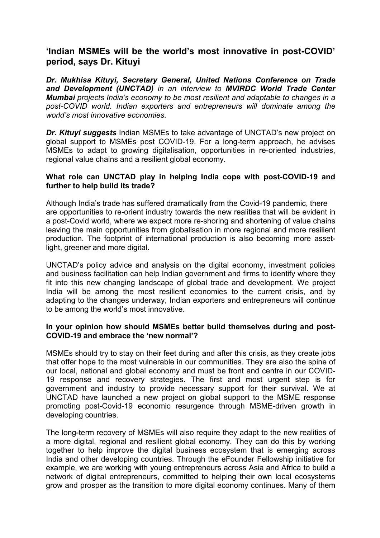# **'Indian MSMEs will be the world's most innovative in post-COVID'period, says Dr. Kituyi**

*Dr. Mukhisa Kituyi, Secretary General, United Nations Conference on Trade and Development (UNCTAD) in an interview to MVIRDC World Trade Center Mumbai projects India's economy to be most resilient and adaptable to changes in a post-COVID world. Indian exporters and entrepreneurs will dominate among the world's most innovative economies.*

*Dr. Kituyi suggests* Indian MSMEs to take advantage of UNCTAD's new project on global support to MSMEs post COVID-19. For a long-term approach, he advises MSMEs to adapt to growing digitalisation, opportunities in re-oriented industries, regional value chains and a resilient global economy.

### **What role can UNCTAD play in helping India cope with post-COVID-19 and further to help build its trade?**

Although India's trade has suffered dramatically from the Covid-19 pandemic, there are opportunities to re-orient industry towards the new realities that will be evident in a post-Covid world, where we expect more re-shoring and shortening of value chains leaving the main opportunities from globalisation in more regional and more resilient production. The footprint of international production is also becoming more assetlight, greener and more digital.

UNCTAD's policy advice and analysis on the digital economy, investment policies and business facilitation can help Indian government and firms to identify where they fit into this new changing landscape of global trade and development. We project India will be among the most resilient economies to the current crisis, and by adapting to the changes underway, Indian exporters and entrepreneurs will continue to be among the world's most innovative.

#### **In your opinion how should MSMEs betterbuild themselves during and post- COVID-19 and embrace the 'new normal'?**

MSMEs should try to stay on their feet during and after this crisis, as they create jobs that offer hope to the most vulnerable in our communities. They are also the spine of our local, national and global economy and must be front and centre in our COVID- 19 response and recovery strategies. The first and most urgent step is for government and industry to provide necessary support for their survival. We at UNCTAD have launched a new project on global support to the MSME response promoting post-Covid-19 economic resurgence through MSME-driven growth in developing countries.

The long-term recovery of MSMEs will also require they adapt to the new realities of a more digital, regional and resilient global economy. They can do this by working together to help improve the digital business ecosystem that is emerging across India and other developing countries. Through the eFounder Fellowship initiative for example, we are working with young entrepreneurs across Asia and Africa to build a network of digital entrepreneurs, committed to helping their own local ecosystems grow and prosper as the transition to more digital economy continues. Many of them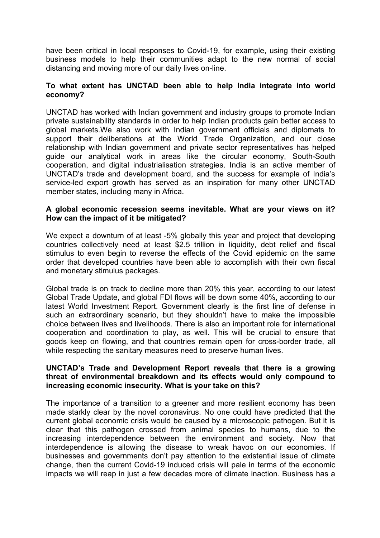have been critical in local responses to Covid-19, for example, using their existing business models to help their communities adapt to the new normal of social distancing and moving more of our daily lives on-line.

## **To what extent has UNCTAD been able to help India integrate into world economy?**

UNCTAD has worked with Indian government and industry groups to promote Indian private sustainability standards in order to help Indian products gain better access to global markets.We also work with Indian government officials and diplomats to support their deliberations at the World Trade Organization, and our close relationship with Indian government and private sector representatives has helped guide our analytical work in areas like the circular economy, South-South cooperation, and digital industrialisation strategies. India is an active member of UNCTAD's trade and development board, and the success for example of India's service-led export growth has served as an inspiration for many other UNCTAD member states, including many in Africa.

## **A global economic recession seems inevitable. What are your views on it? How can the impact of it be mitigated?**

We expect a downturn of at least -5% globally this year and project that developing countries collectively need at least \$2.5 trillion in liquidity, debt relief and fiscal stimulus to even begin to reverse the effects of the Covid epidemic on the same order that developed countries have been able to accomplish with their own fiscal and monetary stimulus packages.

Global trade is on track to decline more than 20% this year, according to our latest Global Trade Update, and global FDI flows will be down some 40%, according to our latest World Investment Report. Government clearly is the first line of defense in such an extraordinary scenario, but they shouldn't have to make the impossible choice between lives and livelihoods. There is also an important role for international cooperation and coordination to play, as well. This will be crucial to ensure that goods keep on flowing, and that countries remain open for cross-border trade, all while respecting the sanitary measures need to preserve human lives.

### **UNCTAD's Trade and Development Report reveals that there is a growing threat of environmental breakdown and its effects would only compound to increasing economic insecurity.What is your take on this?**

The importance of a transition to a greener and more resilient economy has been made starkly clear by the novel coronavirus. No one could have predicted that the current global economic crisis would be caused by a microscopic pathogen. But it is clear that this pathogen crossed from animal species to humans, due to the increasing interdependence between the environment and society. Now that interdependence is allowing the disease to wreak havoc on our economies. If businesses and governments don't pay attention to the existential issue of climate change, then the current Covid-19 induced crisis will pale in terms of the economic impacts we will reap in just a few decades more of climate inaction. Business has a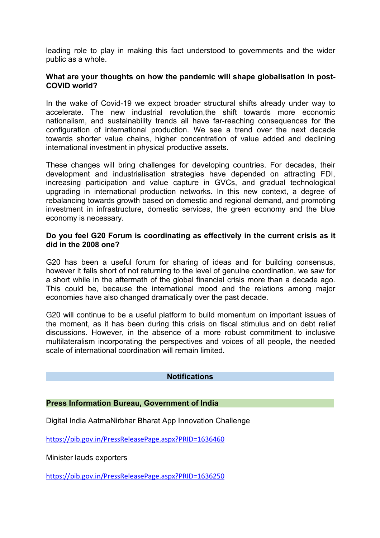leading role to play in making this fact understood to governments and the wider public as a whole.

### **What are your thoughts on how the pandemic will shape globalisation in post- COVID world?**

In the wake of Covid-19 we expect broader structural shifts already under way to accelerate. The new industrial revolution,the shift towards more economic nationalism, and sustainability trends all have far-reaching consequences for the configuration of international production. We see a trend over the next decade towards shorter value chains, higher concentration of value added and declining international investment in physical productive assets.

These changes will bring challenges for developing countries. For decades, their development and industrialisation strategies have depended on attracting FDI, increasing participation and value capture in GVCs, and gradual technological upgrading in international production networks. In this new context, a degree of rebalancing towards growth based on domestic and regional demand, and promoting investment in infrastructure, domestic services, the green economy and the blue economy is necessary.

## **Do you feel G20 Forum is coordinating as effectively in the current crisis as it did in the 2008 one?**

G20 has been a useful forum for sharing of ideas and for building consensus, however it falls short of not returning to the level of genuine coordination, we saw for a short while in the aftermath of the global financial crisis more than a decade ago. This could be, because the international mood and the relations among major economies have also changed dramatically over the past decade.

G20 will continue to be a useful platform to build momentum on important issues of the moment, as it has been during this crisis on fiscal stimulus and on debt relief discussions. However, in the absence of a more robust commitment to inclusive multilateralism incorporating the perspectives and voices of all people, the needed scale of international coordination will remain limited.

#### **Notifications**

## **Press Information Bureau, Government of India**

Digital India AatmaNirbhar Bharat App Innovation Challenge

<https://pib.gov.in/PressReleasePage.aspx?PRID=1636460>

Minister lauds exporters

<https://pib.gov.in/PressReleasePage.aspx?PRID=1636250>